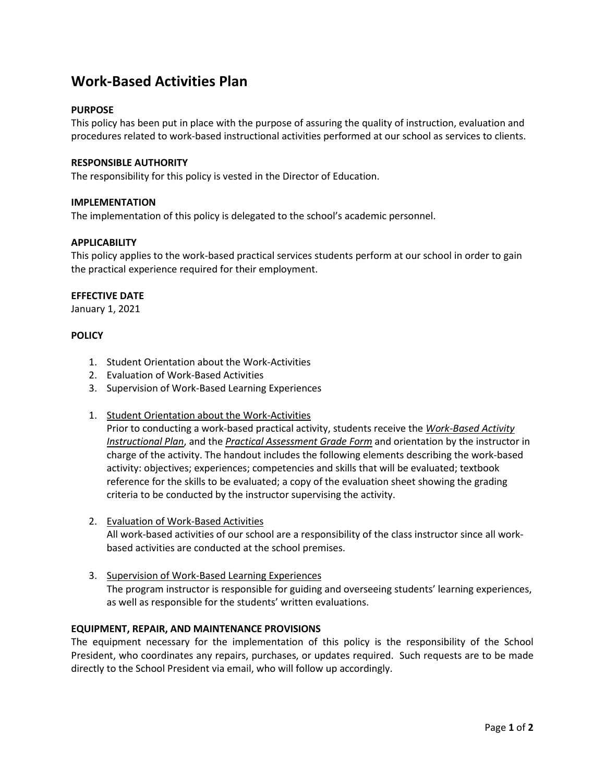# **Work-Based Activities Plan**

# **PURPOSE**

This policy has been put in place with the purpose of assuring the quality of instruction, evaluation and procedures related to work-based instructional activities performed at our school as services to clients.

### **RESPONSIBLE AUTHORITY**

The responsibility for this policy is vested in the Director of Education.

#### **IMPLEMENTATION**

The implementation of this policy is delegated to the school's academic personnel.

## **APPLICABILITY**

This policy applies to the work-based practical services students perform at our school in order to gain the practical experience required for their employment.

#### **EFFECTIVE DATE**

January 1, 2021

## **POLICY**

- 1. Student Orientation about the Work-Activities
- 2. Evaluation of Work-Based Activities
- 3. Supervision of Work-Based Learning Experiences
- 1. Student Orientation about the Work-Activities

Prior to conducting a work-based practical activity, students receive the *Work-Based Activity Instructional Plan*, and the *Practical Assessment Grade Form* and orientation by the instructor in charge of the activity. The handout includes the following elements describing the work-based activity: objectives; experiences; competencies and skills that will be evaluated; textbook reference for the skills to be evaluated; a copy of the evaluation sheet showing the grading criteria to be conducted by the instructor supervising the activity.

- 2. Evaluation of Work-Based Activities All work-based activities of our school are a responsibility of the class instructor since all workbased activities are conducted at the school premises.
- 3. Supervision of Work-Based Learning Experiences The program instructor is responsible for guiding and overseeing students' learning experiences, as well as responsible for the students' written evaluations.

#### **EQUIPMENT, REPAIR, AND MAINTENANCE PROVISIONS**

The equipment necessary for the implementation of this policy is the responsibility of the School President, who coordinates any repairs, purchases, or updates required. Such requests are to be made directly to the School President via email, who will follow up accordingly.